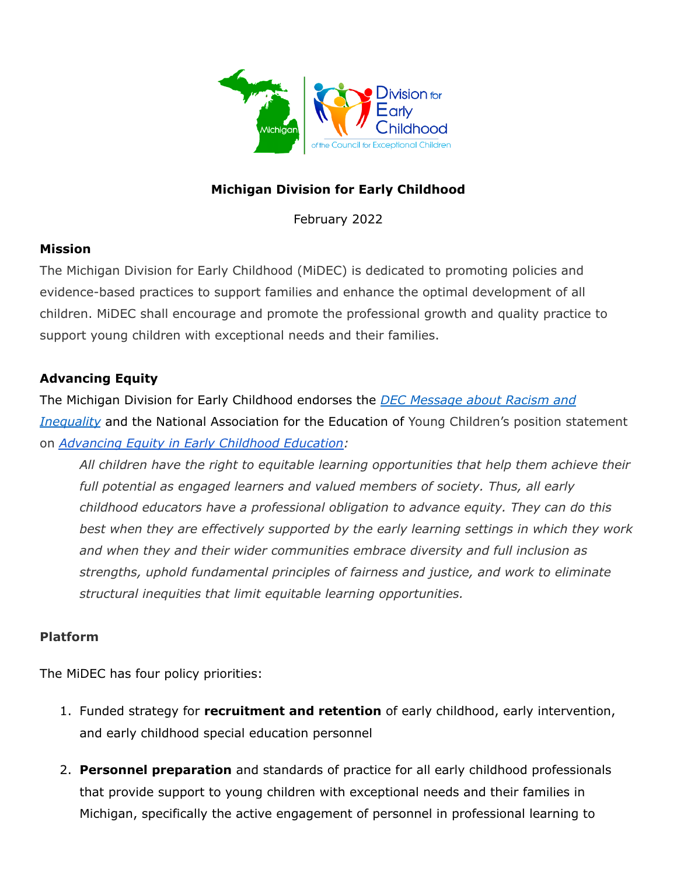

## **Michigan Division for Early Childhood**

February 2022

#### **Mission**

The Michigan Division for Early Childhood (MiDEC) is dedicated to promoting policies and evidence-based practices to support families and enhance the optimal development of all children. MiDEC shall encourage and promote the professional growth and quality practice to support young children with exceptional needs and their families.

## **Advancing Equity**

The Michigan Division for Early Childhood endorses the *DEC [Message](https://www.dec-sped.org/single-post/2020/06/03/DEC-Message-About-Racism-and-Inequity) about Racism and [Inequality](https://www.dec-sped.org/single-post/2020/06/03/DEC-Message-About-Racism-and-Inequity)* and the National Association for the Education of Young Children's position statement on *[Advancing](https://www.naeyc.org/sites/default/files/globally-shared/downloads/PDFs/resources/position-statements/advancingequitypositionstatement.pdf) Equity in Early Childhood Education:*

*All children have the right to equitable learning opportunities that help them achieve their full potential as engaged learners and valued members of society. Thus, all early childhood educators have a professional obligation to advance equity. They can do this best when they are effectively supported by the early learning settings in which they work and when they and their wider communities embrace diversity and full inclusion as strengths, uphold fundamental principles of fairness and justice, and work to eliminate structural inequities that limit equitable learning opportunities.*

#### **Platform**

The MiDEC has four policy priorities:

- 1. Funded strategy for **recruitment and retention** of early childhood, early intervention, and early childhood special education personnel
- 2. **Personnel preparation** and standards of practice for all early childhood professionals that provide support to young children with exceptional needs and their families in Michigan, specifically the active engagement of personnel in professional learning to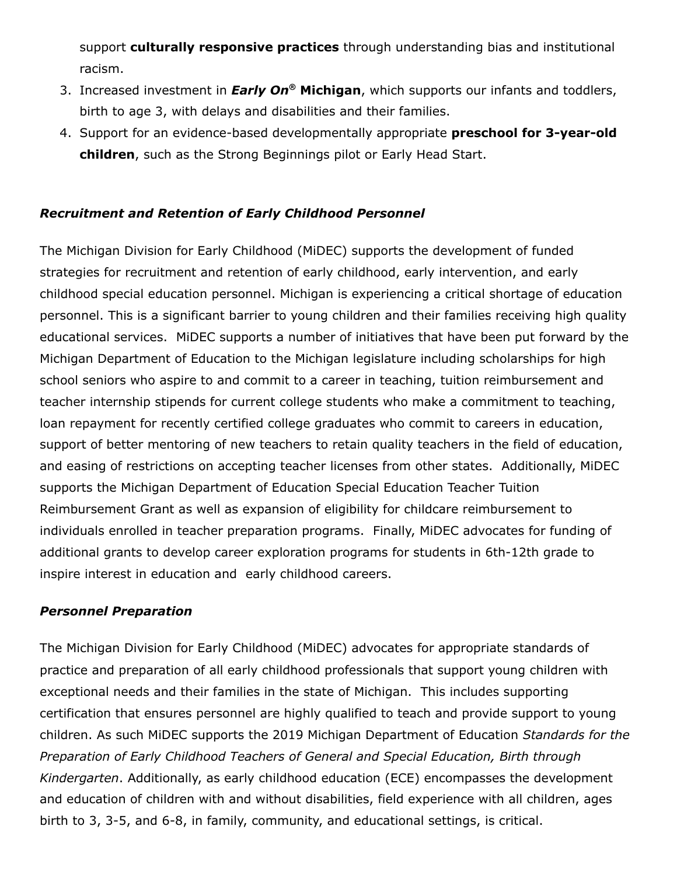support **culturally responsive practices** through understanding bias and institutional racism.

- 3. Increased investment in *Early On* **® Michigan**, which supports our infants and toddlers, birth to age 3, with delays and disabilities and their families.
- 4. Support for an evidence-based developmentally appropriate **preschool for 3-year-old children**, such as the Strong Beginnings pilot or Early Head Start.

#### *Recruitment and Retention of Early Childhood Personnel*

The Michigan Division for Early Childhood (MiDEC) supports the development of funded strategies for recruitment and retention of early childhood, early intervention, and early childhood special education personnel. Michigan is experiencing a critical shortage of education personnel. This is a significant barrier to young children and their families receiving high quality educational services. MiDEC supports a number of initiatives that have been put forward by the Michigan Department of Education to the Michigan legislature including scholarships for high school seniors who aspire to and commit to a career in teaching, tuition reimbursement and teacher internship stipends for current college students who make a commitment to teaching, loan repayment for recently certified college graduates who commit to careers in education, support of better mentoring of new teachers to retain quality teachers in the field of education, and easing of restrictions on accepting teacher licenses from other states. Additionally, MiDEC supports the Michigan Department of Education Special Education Teacher Tuition Reimbursement Grant as well as expansion of eligibility for childcare reimbursement to individuals enrolled in teacher preparation programs. Finally, MiDEC advocates for funding of additional grants to develop career exploration programs for students in 6th-12th grade to inspire interest in education and early childhood careers.

#### *Personnel Preparation*

The Michigan Division for Early Childhood (MiDEC) advocates for appropriate standards of practice and preparation of all early childhood professionals that support young children with exceptional needs and their families in the state of Michigan. This includes supporting certification that ensures personnel are highly qualified to teach and provide support to young children. As such MiDEC supports the 2019 Michigan Department of Education *Standards for the Preparation of Early Childhood Teachers of General and Special Education, Birth through Kindergarten*. Additionally, as early childhood education (ECE) encompasses the development and education of children with and without disabilities, field experience with all children, ages birth to 3, 3-5, and 6-8, in family, community, and educational settings, is critical.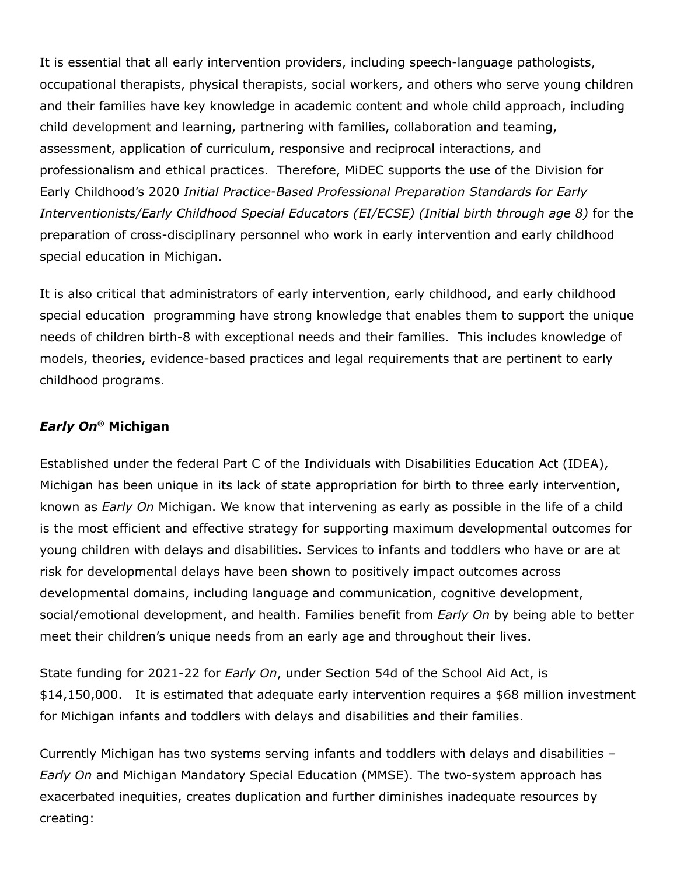It is essential that all early intervention providers, including speech-language pathologists, occupational therapists, physical therapists, social workers, and others who serve young children and their families have key knowledge in academic content and whole child approach, including child development and learning, partnering with families, collaboration and teaming, assessment, application of curriculum, responsive and reciprocal interactions, and professionalism and ethical practices. Therefore, MiDEC supports the use of the Division for Early Childhood's 2020 *Initial Practice-Based Professional Preparation Standards for Early Interventionists/Early Childhood Special Educators (EI/ECSE) (Initial birth through age 8)* for the preparation of cross-disciplinary personnel who work in early intervention and early childhood special education in Michigan.

It is also critical that administrators of early intervention, early childhood, and early childhood special education programming have strong knowledge that enables them to support the unique needs of children birth-8 with exceptional needs and their families. This includes knowledge of models, theories, evidence-based practices and legal requirements that are pertinent to early childhood programs.

## *Early On* **® Michigan**

Established under the federal Part C of the Individuals with Disabilities Education Act (IDEA), Michigan has been unique in its lack of state appropriation for birth to three early intervention, known as *Early On* Michigan. We know that intervening as early as possible in the life of a child is the most efficient and effective strategy for supporting maximum developmental outcomes for young children with delays and disabilities. Services to infants and toddlers who have or are at risk for developmental delays have been shown to positively impact outcomes across developmental domains, including language and communication, cognitive development, social/emotional development, and health. Families benefit from *Early On* by being able to better meet their children's unique needs from an early age and throughout their lives.

State funding for 2021-22 for *Early On*, under Section 54d of the School Aid Act, is \$14,150,000. It is estimated that adequate early intervention requires a \$68 million investment for Michigan infants and toddlers with delays and disabilities and their families.

Currently Michigan has two systems serving infants and toddlers with delays and disabilities – *Early On* and Michigan Mandatory Special Education (MMSE). The two-system approach has exacerbated inequities, creates duplication and further diminishes inadequate resources by creating: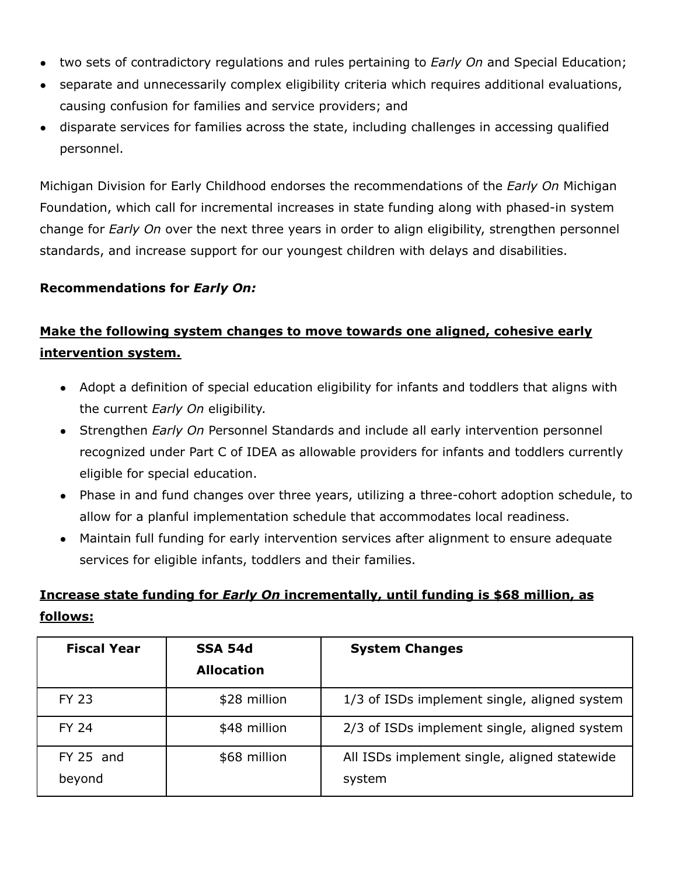- two sets of contradictory regulations and rules pertaining to *Early On* and Special Education;
- separate and unnecessarily complex eligibility criteria which requires additional evaluations, causing confusion for families and service providers; and
- disparate services for families across the state, including challenges in accessing qualified personnel.

Michigan Division for Early Childhood endorses the recommendations of the *Early On* Michigan Foundation, which call for incremental increases in state funding along with phased-in system change for *Early On* over the next three years in order to align eligibility, strengthen personnel standards, and increase support for our youngest children with delays and disabilities.

#### **Recommendations for** *Early On:*

# **Make the following system changes to move towards one aligned, cohesive early intervention system.**

- Adopt a definition of special education eligibility for infants and toddlers that aligns with the current *Early On* eligibility.
- Strengthen *Early On* Personnel Standards and include all early intervention personnel recognized under Part C of IDEA as allowable providers for infants and toddlers currently eligible for special education.
- Phase in and fund changes over three years, utilizing a three-cohort adoption schedule, to allow for a planful implementation schedule that accommodates local readiness.
- Maintain full funding for early intervention services after alignment to ensure adequate services for eligible infants, toddlers and their families.

## **Increase state funding for** *Early On* **incrementally, until funding is \$68 million, as follows:**

| <b>Fiscal Year</b>    | <b>SSA 54d</b><br><b>Allocation</b> | <b>System Changes</b>                                  |
|-----------------------|-------------------------------------|--------------------------------------------------------|
| <b>FY 23</b>          | \$28 million                        | 1/3 of ISDs implement single, aligned system           |
| <b>FY 24</b>          | \$48 million                        | 2/3 of ISDs implement single, aligned system           |
| $FY$ 25 and<br>beyond | \$68 million                        | All ISDs implement single, aligned statewide<br>system |